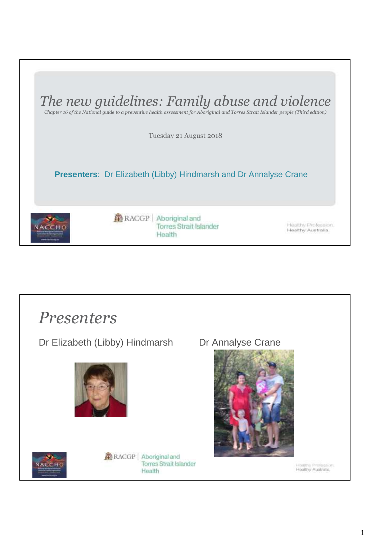

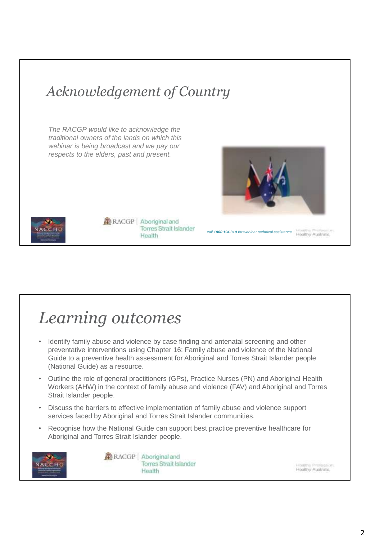#### *Acknowledgement of Country*

*The RACGP would like to acknowledge the traditional owners of the lands on which this webinar is being broadcast and we pay our respects to the elders, past and present.*





RACGP | Aboriginal and **Torres Strait Islander** Health

*call 1800 194 319 for webinar technical assistance*

Healthy Australia.

#### *Learning outcomes*

- Identify family abuse and violence by case finding and antenatal screening and other preventative interventions using Chapter 16: Family abuse and violence of the National Guide to a preventive health assessment for Aboriginal and Torres Strait Islander people (National Guide) as a resource.
- Outline the role of general practitioners (GPs), Practice Nurses (PN) and Aboriginal Health Workers (AHW) in the context of family abuse and violence (FAV) and Aboriginal and Torres Strait Islander people.
- Discuss the barriers to effective implementation of family abuse and violence support services faced by Aboriginal and Torres Strait Islander communities.
- Recognise how the National Guide can support best practice preventive healthcare for Aboriginal and Torres Strait Islander people.



RACGP | Aboriginal and **Torres Strait Islander** Health

builtiny Profession Healthy Australia.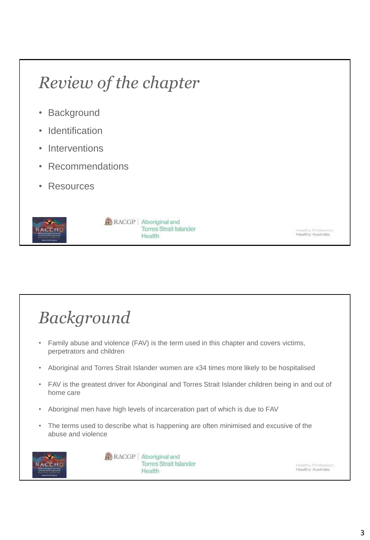# *Review of the chapter*

- Background
- Identification
- **Interventions**
- Recommendations
- **Resources**



**RACGP** Aboriginal and **Torres Strait Islander** Health

Hastery Professio<br>Healthy Abstrate.

## *Background*

- Family abuse and violence (FAV) is the term used in this chapter and covers victims, perpetrators and children
- Aboriginal and Torres Strait Islander women are x34 times more likely to be hospitalised
- FAV is the greatest driver for Aboriginal and Torres Strait Islander children being in and out of home care
- Aboriginal men have high levels of incarceration part of which is due to FAV
- The terms used to describe what is happening are often minimised and excusive of the abuse and violence



**RACGP** Aboriginal and **Torres Strait Islander** Health

Haston Profession.<br>Healthy Australia.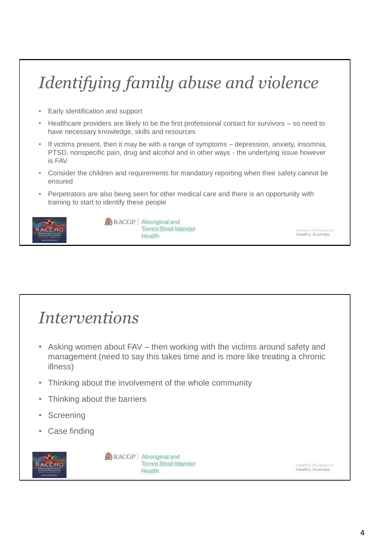# *Identifying family abuse and violence*

- Early identification and support
- Healthcare providers are likely to be the first professional contact for survivors so need to have necessary knowledge, skills and resources
- If victims present, then it may be with a range of symptoms depression, anxiety, insomnia, PTSD, nonspecific pain, drug and alcohol and in other ways - the underlying issue however is FAV
- Consider the children and requirements for mandatory reporting when their safety cannot be ensured
- Perpetrators are also being seen for other medical care and there is an opportunity with training to start to identify these people



**RACGP** Aboriginal and **Torres Strait Islander** Health

#### *Interventions*

- Asking women about FAV then working with the victims around safety and management (need to say this takes time and is more like treating a chronic illness)
- Thinking about the involvement of the whole community
- Thinking about the barriers
- **Screening**
- Case finding



**RACGP** Aboriginal and **Torres Strait Islander** Health

**INITEN Profession** Healthy Australia.

Healthy Australia.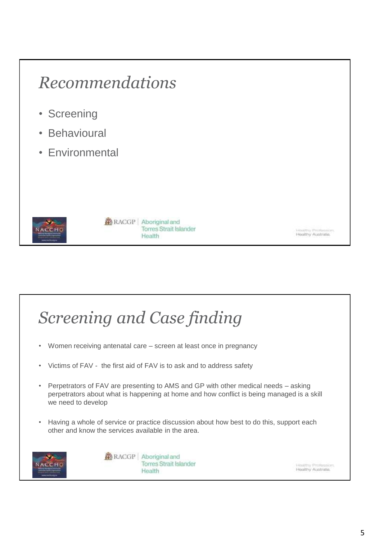#### *Recommendations*

- Screening
- Behavioural
- Environmental



#### RACGP | Aboriginal and **Torres Strait Islander** Health

Hastery Professio<br>Healthy Abstrate.

### *Screening and Case finding*

- Women receiving antenatal care screen at least once in pregnancy
- Victims of FAV the first aid of FAV is to ask and to address safety
- Perpetrators of FAV are presenting to AMS and GP with other medical needs asking perpetrators about what is happening at home and how conflict is being managed is a skill we need to develop
- Having a whole of service or practice discussion about how best to do this, support each other and know the services available in the area.



RACGP | Aboriginal and **Torres Strait Islander** Health

Hastony Profession.<br>Healthy Australia.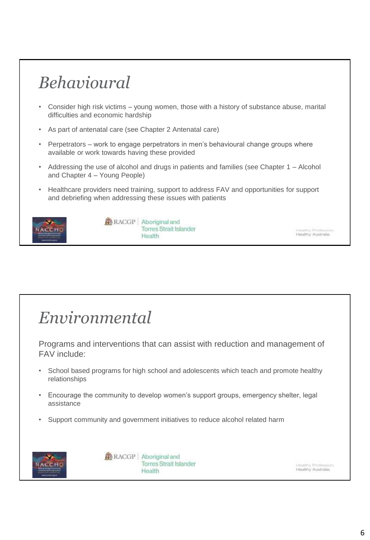#### *Behavioural*

- Consider high risk victims young women, those with a history of substance abuse, marital difficulties and economic hardship
- As part of antenatal care (see Chapter 2 Antenatal care)
- Perpetrators work to engage perpetrators in men's behavioural change groups where available or work towards having these provided
- Addressing the use of alcohol and drugs in patients and families (see Chapter 1 Alcohol and Chapter 4 – Young People)
- Healthcare providers need training, support to address FAV and opportunities for support and debriefing when addressing these issues with patients



RACGP | Aboriginal and **Torres Strait Islander** Health

#### *Environmental*

Programs and interventions that can assist with reduction and management of FAV include:

- School based programs for high school and adolescents which teach and promote healthy relationships
- Encourage the community to develop women's support groups, emergency shelter, legal assistance
- Support community and government initiatives to reduce alcohol related harm



RACGP | Aboriginal and **Torres Strait Islander** Health

iastery Profession Healthy Australia.

Healthy Australia.